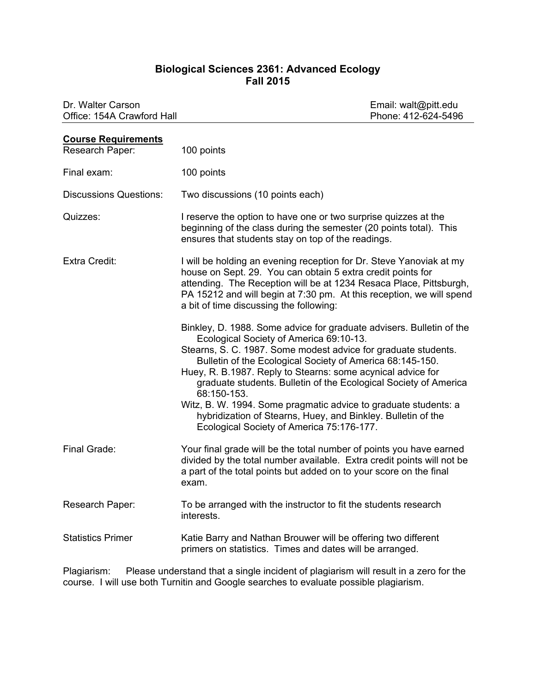## **Biological Sciences 2361: Advanced Ecology Fall 2015**

| Dr. Walter Carson<br>Office: 154A Crawford Hall |                                                                                                                                                                                                                                                                                                                                                                                                                                                                                                                                                                                  | Email: walt@pitt.edu<br>Phone: 412-624-5496 |
|-------------------------------------------------|----------------------------------------------------------------------------------------------------------------------------------------------------------------------------------------------------------------------------------------------------------------------------------------------------------------------------------------------------------------------------------------------------------------------------------------------------------------------------------------------------------------------------------------------------------------------------------|---------------------------------------------|
| <b>Course Requirements</b>                      |                                                                                                                                                                                                                                                                                                                                                                                                                                                                                                                                                                                  |                                             |
| Research Paper:                                 | 100 points                                                                                                                                                                                                                                                                                                                                                                                                                                                                                                                                                                       |                                             |
| Final exam:                                     | 100 points                                                                                                                                                                                                                                                                                                                                                                                                                                                                                                                                                                       |                                             |
| <b>Discussions Questions:</b>                   | Two discussions (10 points each)                                                                                                                                                                                                                                                                                                                                                                                                                                                                                                                                                 |                                             |
| Quizzes:                                        | I reserve the option to have one or two surprise quizzes at the<br>beginning of the class during the semester (20 points total). This<br>ensures that students stay on top of the readings.                                                                                                                                                                                                                                                                                                                                                                                      |                                             |
| <b>Extra Credit:</b>                            | I will be holding an evening reception for Dr. Steve Yanoviak at my<br>house on Sept. 29. You can obtain 5 extra credit points for<br>attending. The Reception will be at 1234 Resaca Place, Pittsburgh,<br>PA 15212 and will begin at 7:30 pm. At this reception, we will spend<br>a bit of time discussing the following:                                                                                                                                                                                                                                                      |                                             |
|                                                 | Binkley, D. 1988. Some advice for graduate advisers. Bulletin of the<br>Ecological Society of America 69:10-13.<br>Stearns, S. C. 1987. Some modest advice for graduate students.<br>Bulletin of the Ecological Society of America 68:145-150.<br>Huey, R. B.1987. Reply to Stearns: some acynical advice for<br>graduate students. Bulletin of the Ecological Society of America<br>68:150-153.<br>Witz, B. W. 1994. Some pragmatic advice to graduate students: a<br>hybridization of Stearns, Huey, and Binkley. Bulletin of the<br>Ecological Society of America 75:176-177. |                                             |
| Final Grade:                                    | Your final grade will be the total number of points you have earned<br>divided by the total number available. Extra credit points will not be<br>a part of the total points but added on to your score on the final<br>exam.                                                                                                                                                                                                                                                                                                                                                     |                                             |
| Research Paper:                                 | To be arranged with the instructor to fit the students research<br>interests.                                                                                                                                                                                                                                                                                                                                                                                                                                                                                                    |                                             |
| <b>Statistics Primer</b>                        | Katie Barry and Nathan Brouwer will be offering two different<br>primers on statistics. Times and dates will be arranged.                                                                                                                                                                                                                                                                                                                                                                                                                                                        |                                             |
|                                                 |                                                                                                                                                                                                                                                                                                                                                                                                                                                                                                                                                                                  |                                             |

Plagiarism: Please understand that a single incident of plagiarism will result in a zero for the course. I will use both Turnitin and Google searches to evaluate possible plagiarism.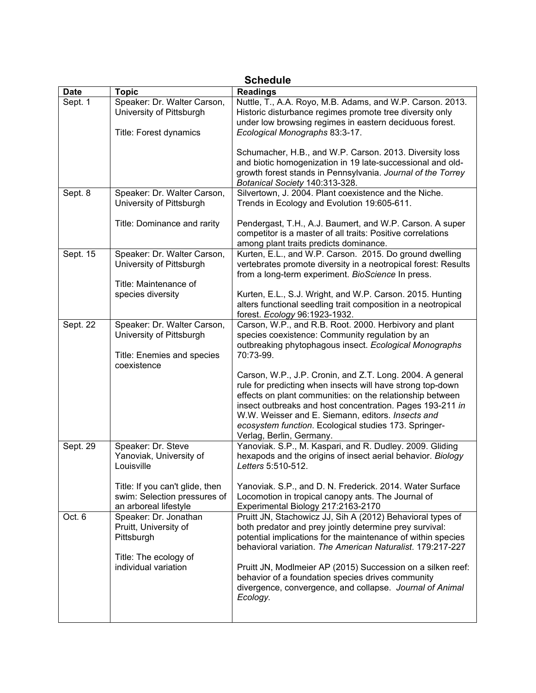| <b>Schedule</b> |                                                                                                               |                                                                                                                                                                                                                                                                                                                                                                                                                                                 |  |  |
|-----------------|---------------------------------------------------------------------------------------------------------------|-------------------------------------------------------------------------------------------------------------------------------------------------------------------------------------------------------------------------------------------------------------------------------------------------------------------------------------------------------------------------------------------------------------------------------------------------|--|--|
| <b>Date</b>     | <b>Topic</b>                                                                                                  | <b>Readings</b>                                                                                                                                                                                                                                                                                                                                                                                                                                 |  |  |
| Sept. 1         | Speaker: Dr. Walter Carson,<br>University of Pittsburgh<br>Title: Forest dynamics                             | Nuttle, T., A.A. Royo, M.B. Adams, and W.P. Carson. 2013.<br>Historic disturbance regimes promote tree diversity only<br>under low browsing regimes in eastern deciduous forest.<br>Ecological Monographs 83:3-17.                                                                                                                                                                                                                              |  |  |
|                 |                                                                                                               | Schumacher, H.B., and W.P. Carson. 2013. Diversity loss<br>and biotic homogenization in 19 late-successional and old-<br>growth forest stands in Pennsylvania. Journal of the Torrey<br>Botanical Society 140:313-328.                                                                                                                                                                                                                          |  |  |
| Sept. 8         | Speaker: Dr. Walter Carson,<br>University of Pittsburgh                                                       | Silvertown, J. 2004. Plant coexistence and the Niche.<br>Trends in Ecology and Evolution 19:605-611.                                                                                                                                                                                                                                                                                                                                            |  |  |
|                 | Title: Dominance and rarity                                                                                   | Pendergast, T.H., A.J. Baumert, and W.P. Carson. A super<br>competitor is a master of all traits: Positive correlations<br>among plant traits predicts dominance.                                                                                                                                                                                                                                                                               |  |  |
| Sept. 15        | Speaker: Dr. Walter Carson,<br>University of Pittsburgh<br>Title: Maintenance of                              | Kurten, E.L., and W.P. Carson. 2015. Do ground dwelling<br>vertebrates promote diversity in a neotropical forest: Results<br>from a long-term experiment. BioScience In press.                                                                                                                                                                                                                                                                  |  |  |
|                 | species diversity                                                                                             | Kurten, E.L., S.J. Wright, and W.P. Carson. 2015. Hunting<br>alters functional seedling trait composition in a neotropical<br>forest. Ecology 96:1923-1932.                                                                                                                                                                                                                                                                                     |  |  |
| Sept. 22        | Speaker: Dr. Walter Carson,<br>University of Pittsburgh<br>Title: Enemies and species<br>coexistence          | Carson, W.P., and R.B. Root. 2000. Herbivory and plant<br>species coexistence: Community regulation by an<br>outbreaking phytophagous insect. Ecological Monographs<br>70:73-99.<br>Carson, W.P., J.P. Cronin, and Z.T. Long. 2004. A general                                                                                                                                                                                                   |  |  |
|                 |                                                                                                               | rule for predicting when insects will have strong top-down<br>effects on plant communities: on the relationship between<br>insect outbreaks and host concentration. Pages 193-211 in<br>W.W. Weisser and E. Siemann, editors. Insects and<br>ecosystem function. Ecological studies 173. Springer-<br>Verlag, Berlin, Germany.                                                                                                                  |  |  |
| Sept. 29        | Speaker: Dr. Steve<br>Yanoviak, University of<br>Louisville                                                   | Yanoviak. S.P., M. Kaspari, and R. Dudley. 2009. Gliding<br>hexapods and the origins of insect aerial behavior. Biology<br>Letters 5:510-512.                                                                                                                                                                                                                                                                                                   |  |  |
|                 | Title: If you can't glide, then<br>swim: Selection pressures of<br>an arboreal lifestyle                      | Yanoviak. S.P., and D. N. Frederick. 2014. Water Surface<br>Locomotion in tropical canopy ants. The Journal of<br>Experimental Biology 217:2163-2170                                                                                                                                                                                                                                                                                            |  |  |
| Oct. 6          | Speaker: Dr. Jonathan<br>Pruitt, University of<br>Pittsburgh<br>Title: The ecology of<br>individual variation | Pruitt JN, Stachowicz JJ, Sih A (2012) Behavioral types of<br>both predator and prey jointly determine prey survival:<br>potential implications for the maintenance of within species<br>behavioral variation. The American Naturalist. 179:217-227<br>Pruitt JN, Modlmeier AP (2015) Succession on a silken reef:<br>behavior of a foundation species drives community<br>divergence, convergence, and collapse. Journal of Animal<br>Ecology. |  |  |